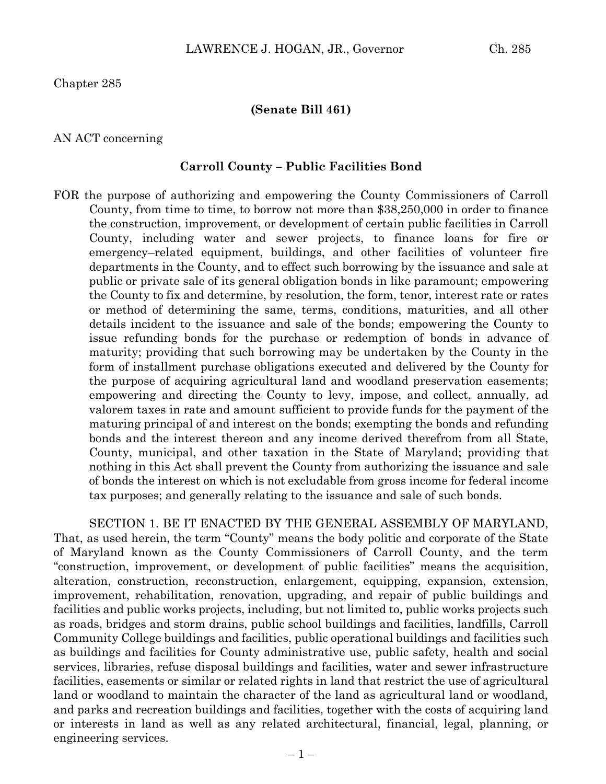Chapter 285

## **(Senate Bill 461)**

## AN ACT concerning

## **Carroll County – Public Facilities Bond**

FOR the purpose of authorizing and empowering the County Commissioners of Carroll County, from time to time, to borrow not more than \$38,250,000 in order to finance the construction, improvement, or development of certain public facilities in Carroll County, including water and sewer projects, to finance loans for fire or emergency–related equipment, buildings, and other facilities of volunteer fire departments in the County, and to effect such borrowing by the issuance and sale at public or private sale of its general obligation bonds in like paramount; empowering the County to fix and determine, by resolution, the form, tenor, interest rate or rates or method of determining the same, terms, conditions, maturities, and all other details incident to the issuance and sale of the bonds; empowering the County to issue refunding bonds for the purchase or redemption of bonds in advance of maturity; providing that such borrowing may be undertaken by the County in the form of installment purchase obligations executed and delivered by the County for the purpose of acquiring agricultural land and woodland preservation easements; empowering and directing the County to levy, impose, and collect, annually, ad valorem taxes in rate and amount sufficient to provide funds for the payment of the maturing principal of and interest on the bonds; exempting the bonds and refunding bonds and the interest thereon and any income derived therefrom from all State, County, municipal, and other taxation in the State of Maryland; providing that nothing in this Act shall prevent the County from authorizing the issuance and sale of bonds the interest on which is not excludable from gross income for federal income tax purposes; and generally relating to the issuance and sale of such bonds.

SECTION 1. BE IT ENACTED BY THE GENERAL ASSEMBLY OF MARYLAND, That, as used herein, the term "County" means the body politic and corporate of the State of Maryland known as the County Commissioners of Carroll County, and the term "construction, improvement, or development of public facilities" means the acquisition, alteration, construction, reconstruction, enlargement, equipping, expansion, extension, improvement, rehabilitation, renovation, upgrading, and repair of public buildings and facilities and public works projects, including, but not limited to, public works projects such as roads, bridges and storm drains, public school buildings and facilities, landfills, Carroll Community College buildings and facilities, public operational buildings and facilities such as buildings and facilities for County administrative use, public safety, health and social services, libraries, refuse disposal buildings and facilities, water and sewer infrastructure facilities, easements or similar or related rights in land that restrict the use of agricultural land or woodland to maintain the character of the land as agricultural land or woodland, and parks and recreation buildings and facilities, together with the costs of acquiring land or interests in land as well as any related architectural, financial, legal, planning, or engineering services.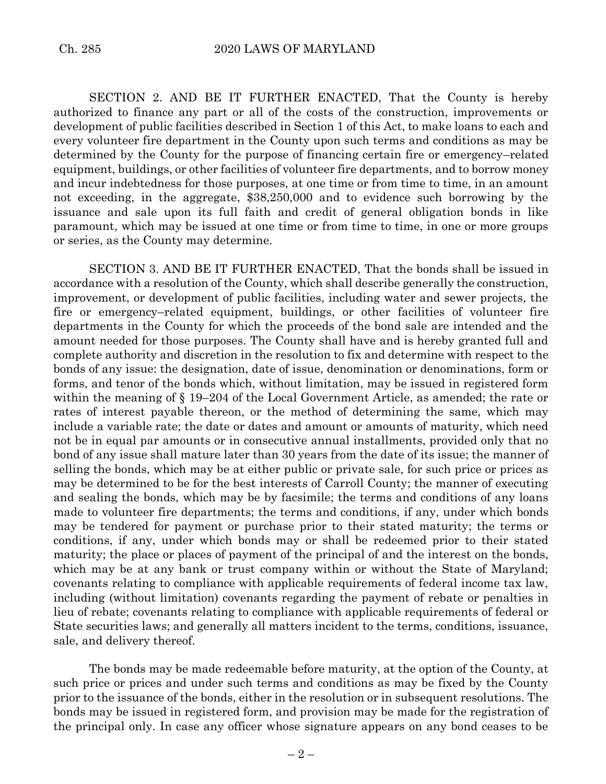SECTION 2. AND BE IT FURTHER ENACTED, That the County is hereby authorized to finance any part or all of the costs of the construction, improvements or development of public facilities described in Section 1 of this Act, to make loans to each and every volunteer fire department in the County upon such terms and conditions as may be determined by the County for the purpose of financing certain fire or emergency–related equipment, buildings, or other facilities of volunteer fire departments, and to borrow money and incur indebtedness for those purposes, at one time or from time to time, in an amount not exceeding, in the aggregate, \$38,250,000 and to evidence such borrowing by the issuance and sale upon its full faith and credit of general obligation bonds in like paramount, which may be issued at one time or from time to time, in one or more groups or series, as the County may determine.

SECTION 3. AND BE IT FURTHER ENACTED, That the bonds shall be issued in accordance with a resolution of the County, which shall describe generally the construction, improvement, or development of public facilities, including water and sewer projects, the fire or emergency–related equipment, buildings, or other facilities of volunteer fire departments in the County for which the proceeds of the bond sale are intended and the amount needed for those purposes. The County shall have and is hereby granted full and complete authority and discretion in the resolution to fix and determine with respect to the bonds of any issue: the designation, date of issue, denomination or denominations, form or forms, and tenor of the bonds which, without limitation, may be issued in registered form within the meaning of § 19–204 of the Local Government Article, as amended; the rate or rates of interest payable thereon, or the method of determining the same, which may include a variable rate; the date or dates and amount or amounts of maturity, which need not be in equal par amounts or in consecutive annual installments, provided only that no bond of any issue shall mature later than 30 years from the date of its issue; the manner of selling the bonds, which may be at either public or private sale, for such price or prices as may be determined to be for the best interests of Carroll County; the manner of executing and sealing the bonds, which may be by facsimile; the terms and conditions of any loans made to volunteer fire departments; the terms and conditions, if any, under which bonds may be tendered for payment or purchase prior to their stated maturity; the terms or conditions, if any, under which bonds may or shall be redeemed prior to their stated maturity; the place or places of payment of the principal of and the interest on the bonds, which may be at any bank or trust company within or without the State of Maryland; covenants relating to compliance with applicable requirements of federal income tax law, including (without limitation) covenants regarding the payment of rebate or penalties in lieu of rebate; covenants relating to compliance with applicable requirements of federal or State securities laws; and generally all matters incident to the terms, conditions, issuance, sale, and delivery thereof.

The bonds may be made redeemable before maturity, at the option of the County, at such price or prices and under such terms and conditions as may be fixed by the County prior to the issuance of the bonds, either in the resolution or in subsequent resolutions. The bonds may be issued in registered form, and provision may be made for the registration of the principal only. In case any officer whose signature appears on any bond ceases to be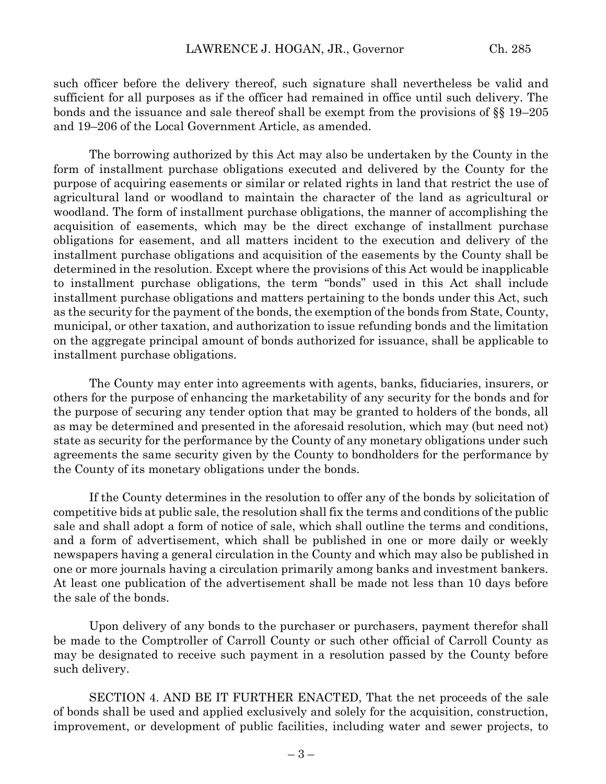such officer before the delivery thereof, such signature shall nevertheless be valid and sufficient for all purposes as if the officer had remained in office until such delivery. The bonds and the issuance and sale thereof shall be exempt from the provisions of §§ 19–205 and 19–206 of the Local Government Article, as amended.

The borrowing authorized by this Act may also be undertaken by the County in the form of installment purchase obligations executed and delivered by the County for the purpose of acquiring easements or similar or related rights in land that restrict the use of agricultural land or woodland to maintain the character of the land as agricultural or woodland. The form of installment purchase obligations, the manner of accomplishing the acquisition of easements, which may be the direct exchange of installment purchase obligations for easement, and all matters incident to the execution and delivery of the installment purchase obligations and acquisition of the easements by the County shall be determined in the resolution. Except where the provisions of this Act would be inapplicable to installment purchase obligations, the term "bonds" used in this Act shall include installment purchase obligations and matters pertaining to the bonds under this Act, such as the security for the payment of the bonds, the exemption of the bonds from State, County, municipal, or other taxation, and authorization to issue refunding bonds and the limitation on the aggregate principal amount of bonds authorized for issuance, shall be applicable to installment purchase obligations.

The County may enter into agreements with agents, banks, fiduciaries, insurers, or others for the purpose of enhancing the marketability of any security for the bonds and for the purpose of securing any tender option that may be granted to holders of the bonds, all as may be determined and presented in the aforesaid resolution, which may (but need not) state as security for the performance by the County of any monetary obligations under such agreements the same security given by the County to bondholders for the performance by the County of its monetary obligations under the bonds.

If the County determines in the resolution to offer any of the bonds by solicitation of competitive bids at public sale, the resolution shall fix the terms and conditions of the public sale and shall adopt a form of notice of sale, which shall outline the terms and conditions, and a form of advertisement, which shall be published in one or more daily or weekly newspapers having a general circulation in the County and which may also be published in one or more journals having a circulation primarily among banks and investment bankers. At least one publication of the advertisement shall be made not less than 10 days before the sale of the bonds.

Upon delivery of any bonds to the purchaser or purchasers, payment therefor shall be made to the Comptroller of Carroll County or such other official of Carroll County as may be designated to receive such payment in a resolution passed by the County before such delivery.

SECTION 4. AND BE IT FURTHER ENACTED, That the net proceeds of the sale of bonds shall be used and applied exclusively and solely for the acquisition, construction, improvement, or development of public facilities, including water and sewer projects, to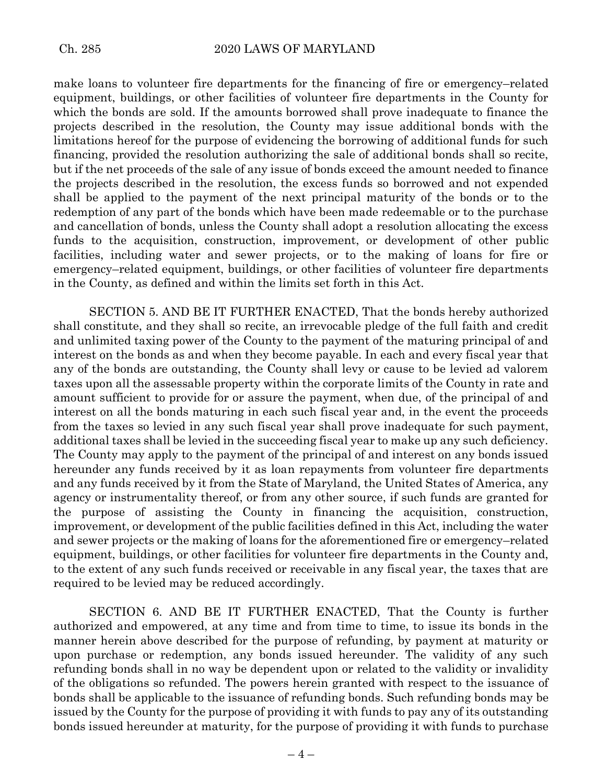make loans to volunteer fire departments for the financing of fire or emergency–related equipment, buildings, or other facilities of volunteer fire departments in the County for which the bonds are sold. If the amounts borrowed shall prove inadequate to finance the projects described in the resolution, the County may issue additional bonds with the limitations hereof for the purpose of evidencing the borrowing of additional funds for such financing, provided the resolution authorizing the sale of additional bonds shall so recite, but if the net proceeds of the sale of any issue of bonds exceed the amount needed to finance the projects described in the resolution, the excess funds so borrowed and not expended shall be applied to the payment of the next principal maturity of the bonds or to the redemption of any part of the bonds which have been made redeemable or to the purchase and cancellation of bonds, unless the County shall adopt a resolution allocating the excess funds to the acquisition, construction, improvement, or development of other public facilities, including water and sewer projects, or to the making of loans for fire or emergency–related equipment, buildings, or other facilities of volunteer fire departments in the County, as defined and within the limits set forth in this Act.

SECTION 5. AND BE IT FURTHER ENACTED, That the bonds hereby authorized shall constitute, and they shall so recite, an irrevocable pledge of the full faith and credit and unlimited taxing power of the County to the payment of the maturing principal of and interest on the bonds as and when they become payable. In each and every fiscal year that any of the bonds are outstanding, the County shall levy or cause to be levied ad valorem taxes upon all the assessable property within the corporate limits of the County in rate and amount sufficient to provide for or assure the payment, when due, of the principal of and interest on all the bonds maturing in each such fiscal year and, in the event the proceeds from the taxes so levied in any such fiscal year shall prove inadequate for such payment, additional taxes shall be levied in the succeeding fiscal year to make up any such deficiency. The County may apply to the payment of the principal of and interest on any bonds issued hereunder any funds received by it as loan repayments from volunteer fire departments and any funds received by it from the State of Maryland, the United States of America, any agency or instrumentality thereof, or from any other source, if such funds are granted for the purpose of assisting the County in financing the acquisition, construction, improvement, or development of the public facilities defined in this Act, including the water and sewer projects or the making of loans for the aforementioned fire or emergency–related equipment, buildings, or other facilities for volunteer fire departments in the County and, to the extent of any such funds received or receivable in any fiscal year, the taxes that are required to be levied may be reduced accordingly.

SECTION 6. AND BE IT FURTHER ENACTED, That the County is further authorized and empowered, at any time and from time to time, to issue its bonds in the manner herein above described for the purpose of refunding, by payment at maturity or upon purchase or redemption, any bonds issued hereunder. The validity of any such refunding bonds shall in no way be dependent upon or related to the validity or invalidity of the obligations so refunded. The powers herein granted with respect to the issuance of bonds shall be applicable to the issuance of refunding bonds. Such refunding bonds may be issued by the County for the purpose of providing it with funds to pay any of its outstanding bonds issued hereunder at maturity, for the purpose of providing it with funds to purchase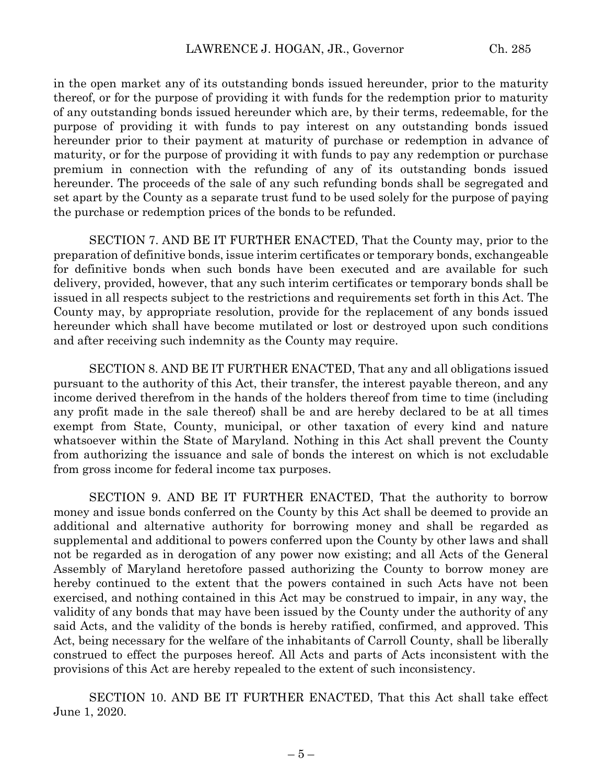in the open market any of its outstanding bonds issued hereunder, prior to the maturity thereof, or for the purpose of providing it with funds for the redemption prior to maturity of any outstanding bonds issued hereunder which are, by their terms, redeemable, for the purpose of providing it with funds to pay interest on any outstanding bonds issued hereunder prior to their payment at maturity of purchase or redemption in advance of maturity, or for the purpose of providing it with funds to pay any redemption or purchase premium in connection with the refunding of any of its outstanding bonds issued hereunder. The proceeds of the sale of any such refunding bonds shall be segregated and set apart by the County as a separate trust fund to be used solely for the purpose of paying the purchase or redemption prices of the bonds to be refunded.

SECTION 7. AND BE IT FURTHER ENACTED, That the County may, prior to the preparation of definitive bonds, issue interim certificates or temporary bonds, exchangeable for definitive bonds when such bonds have been executed and are available for such delivery, provided, however, that any such interim certificates or temporary bonds shall be issued in all respects subject to the restrictions and requirements set forth in this Act. The County may, by appropriate resolution, provide for the replacement of any bonds issued hereunder which shall have become mutilated or lost or destroyed upon such conditions and after receiving such indemnity as the County may require.

SECTION 8. AND BE IT FURTHER ENACTED, That any and all obligations issued pursuant to the authority of this Act, their transfer, the interest payable thereon, and any income derived therefrom in the hands of the holders thereof from time to time (including any profit made in the sale thereof) shall be and are hereby declared to be at all times exempt from State, County, municipal, or other taxation of every kind and nature whatsoever within the State of Maryland. Nothing in this Act shall prevent the County from authorizing the issuance and sale of bonds the interest on which is not excludable from gross income for federal income tax purposes.

SECTION 9. AND BE IT FURTHER ENACTED, That the authority to borrow money and issue bonds conferred on the County by this Act shall be deemed to provide an additional and alternative authority for borrowing money and shall be regarded as supplemental and additional to powers conferred upon the County by other laws and shall not be regarded as in derogation of any power now existing; and all Acts of the General Assembly of Maryland heretofore passed authorizing the County to borrow money are hereby continued to the extent that the powers contained in such Acts have not been exercised, and nothing contained in this Act may be construed to impair, in any way, the validity of any bonds that may have been issued by the County under the authority of any said Acts, and the validity of the bonds is hereby ratified, confirmed, and approved. This Act, being necessary for the welfare of the inhabitants of Carroll County, shall be liberally construed to effect the purposes hereof. All Acts and parts of Acts inconsistent with the provisions of this Act are hereby repealed to the extent of such inconsistency.

SECTION 10. AND BE IT FURTHER ENACTED, That this Act shall take effect June 1, 2020.